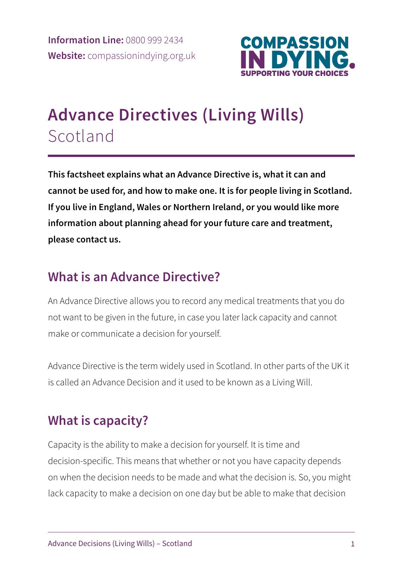

# **Advance Directives (Living Wills)** Scotland

**This factsheet explains what an Advance Directive is, what it can and cannot be used for, and how to make one. It is for people living in Scotland. If you live in England, Wales or Northern Ireland, or you would like more information about planning ahead for your future care and treatment, please contact us.** 

#### **What is an Advance Directive?**

An Advance Directive allows you to record any medical treatments that you do not want to be given in the future, in case you later lack capacity and cannot make or communicate a decision for yourself.

Advance Directive is the term widely used in Scotland. In other parts of the UK it is called an Advance Decision and it used to be known as a Living Will.

#### **What is capacity?**

Capacity is the ability to make a decision for yourself. It is time and decision-specific. This means that whether or not you have capacity depends on when the decision needs to be made and what the decision is. So, you might lack capacity to make a decision on one day but be able to make that decision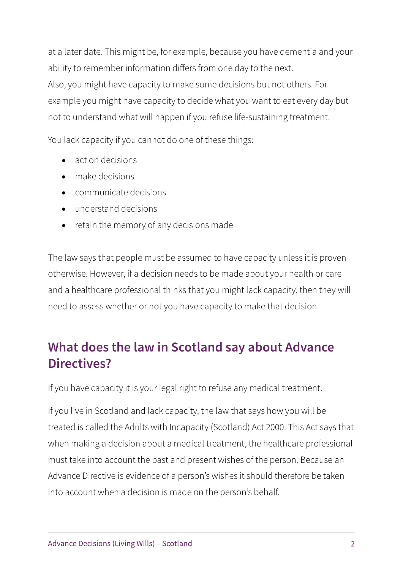at a later date. This might be, for example, because you have dementia and your ability to remember information differs from one day to the next. Also, you might have capacity to make some decisions but not others. For example you might have capacity to decide what you want to eat every day but not to understand what will happen if you refuse life-sustaining treatment.

You lack capacity if you cannot do one of these things:

- act on decisions
- make decisions
- communicate decisions
- understand decisions
- retain the memory of any decisions made

The law says that people must be assumed to have capacity unless it is proven otherwise. However, if a decision needs to be made about your health or care and a healthcare professional thinks that you might lack capacity, then they will need to assess whether or not you have capacity to make that decision.

## **What does the law in Scotland say about Advance Directives?**

If you have capacity it is your legal right to refuse any medical treatment.

If you live in Scotland and lack capacity, the law that says how you will be treated is called the Adults with Incapacity (Scotland) Act 2000. This Act says that when making a decision about a medical treatment, the healthcare professional must take into account the past and present wishes of the person. Because an Advance Directive is evidence of a person's wishes it should therefore be taken into account when a decision is made on the person's behalf.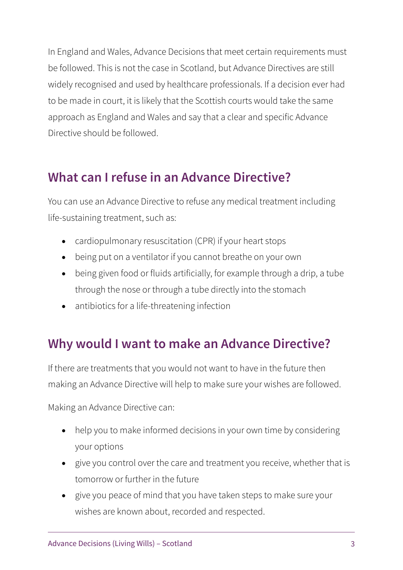In England and Wales, Advance Decisions that meet certain requirements must be followed. This is not the case in Scotland, but Advance Directives are still widely recognised and used by healthcare professionals. If a decision ever had to be made in court, it is likely that the Scottish courts would take the same approach as England and Wales and say that a clear and specific Advance Directive should be followed.

#### **What can I refuse in an Advance Directive?**

You can use an Advance Directive to refuse any medical treatment including life-sustaining treatment, such as:

- cardiopulmonary resuscitation (CPR) if your heart stops
- being put on a ventilator if you cannot breathe on your own
- being given food or fluids artificially, for example through a drip, a tube through the nose or through a tube directly into the stomach
- antibiotics for a life-threatening infection

#### **Why would I want to make an Advance Directive?**

If there are treatments that you would not want to have in the future then making an Advance Directive will help to make sure your wishes are followed.

Making an Advance Directive can:

- help you to make informed decisions in your own time by considering your options
- give you control over the care and treatment you receive, whether that is tomorrow or further in the future
- give you peace of mind that you have taken steps to make sure your wishes are known about, recorded and respected.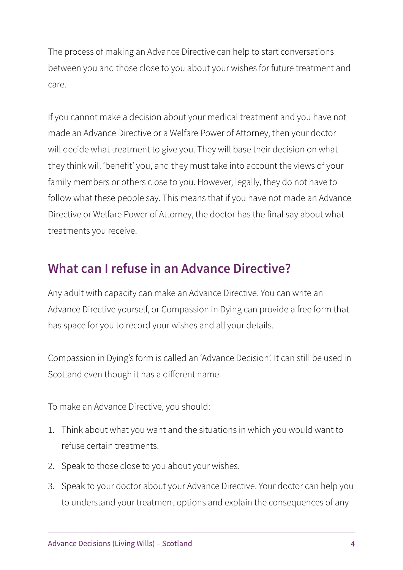The process of making an Advance Directive can help to start conversations between you and those close to you about your wishes for future treatment and care.

If you cannot make a decision about your medical treatment and you have not made an Advance Directive or a Welfare Power of Attorney, then your doctor will decide what treatment to give you. They will base their decision on what they think will 'benefit' you, and they must take into account the views of your family members or others close to you. However, legally, they do not have to follow what these people say. This means that if you have not made an Advance Directive or Welfare Power of Attorney, the doctor has the final say about what treatments you receive.

#### **What can I refuse in an Advance Directive?**

Any adult with capacity can make an Advance Directive. You can write an Advance Directive yourself, or Compassion in Dying can provide a free form that has space for you to record your wishes and all your details.

Compassion in Dying's form is called an 'Advance Decision'. It can still be used in Scotland even though it has a different name.

To make an Advance Directive, you should:

- 1. Think about what you want and the situations in which you would want to refuse certain treatments.
- 2. Speak to those close to you about your wishes.
- 3. Speak to your doctor about your Advance Directive. Your doctor can help you to understand your treatment options and explain the consequences of any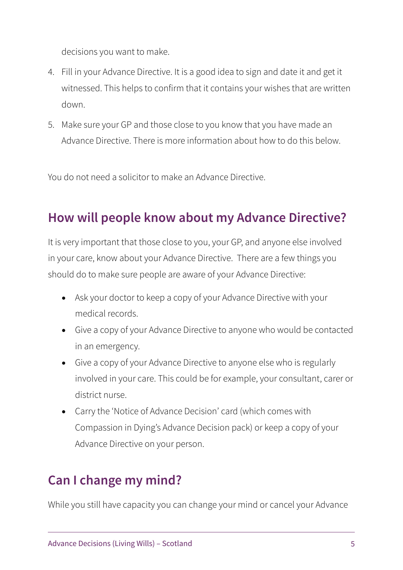decisions you want to make.

- 4. Fill in your Advance Directive. It is a good idea to sign and date it and get it witnessed. This helps to confirm that it contains your wishes that are written down.
- 5. Make sure your GP and those close to you know that you have made an Advance Directive. There is more information about how to do this below.

You do not need a solicitor to make an Advance Directive.

# **How will people know about my Advance Directive?**

It is very important that those close to you, your GP, and anyone else involved in your care, know about your Advance Directive. There are a few things you should do to make sure people are aware of your Advance Directive:

- Ask your doctor to keep a copy of your Advance Directive with your medical records.
- Give a copy of your Advance Directive to anyone who would be contacted in an emergency.
- Give a copy of your Advance Directive to anyone else who is regularly involved in your care. This could be for example, your consultant, carer or district nurse.
- Carry the 'Notice of Advance Decision' card (which comes with Compassion in Dying's Advance Decision pack) or keep a copy of your Advance Directive on your person.

## **Can I change my mind?**

While you still have capacity you can change your mind or cancel your Advance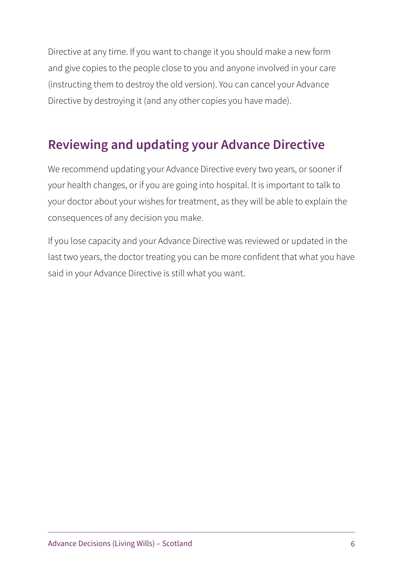Directive at any time. If you want to change it you should make a new form and give copies to the people close to you and anyone involved in your care (instructing them to destroy the old version). You can cancel your Advance Directive by destroying it (and any other copies you have made).

# **Reviewing and updating your Advance Directive**

We recommend updating your Advance Directive every two years, or sooner if your health changes, or if you are going into hospital. It is important to talk to your doctor about your wishes for treatment, as they will be able to explain the consequences of any decision you make.

If you lose capacity and your Advance Directive was reviewed or updated in the last two years, the doctor treating you can be more confident that what you have said in your Advance Directive is still what you want.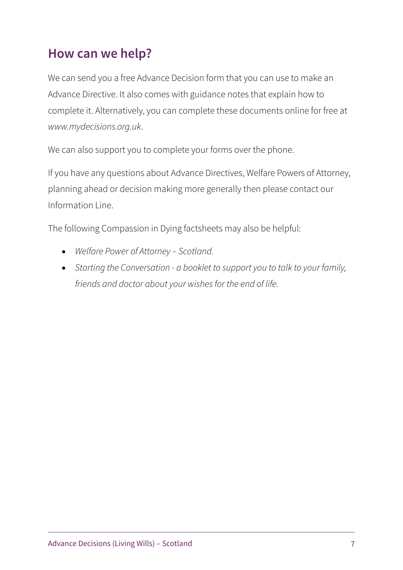#### **How can we help?**

We can send you a free Advance Decision form that you can use to make an Advance Directive. It also comes with guidance notes that explain how to complete it. Alternatively, you can complete these documents online for free at *www.mydecisions.org.uk*.

We can also support you to complete your forms over the phone.

If you have any questions about Advance Directives, Welfare Powers of Attorney, planning ahead or decision making more generally then please contact our Information Line.

The following Compassion in Dying factsheets may also be helpful:

- *Welfare Power of Attorney Scotland.*
- *Starting the Conversation a booklet to support you to talk to your family, friends and doctor about your wishes for the end of life.*